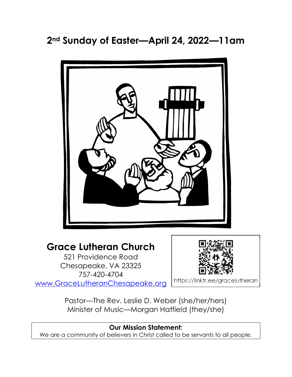2nd Sunday of Easter—April 24, 2022—11am



# Grace Lutheran Church

521 Providence Road Chesapeake, VA 23325 757-420-4704 www.GraceLutheranChesapeake.org



https://linktr.ee/gracelutheran

Pastor—The Rev. Leslie D. Weber (she/her/hers) Minister of Music—Morgan Hatfield (they/she)

# Our Mission Statement: We are a community of believers in Christ called to be servants to all people.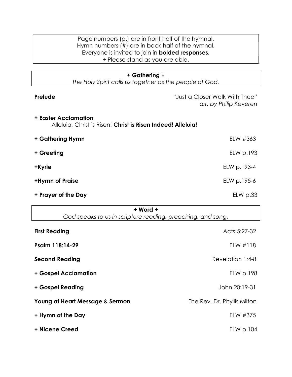| Page numbers (p.) are in front half of the hymnal.<br>Hymn numbers (#) are in back half of the hymnal. |                                                          |
|--------------------------------------------------------------------------------------------------------|----------------------------------------------------------|
| Everyone is invited to join in <b>bolded responses.</b>                                                |                                                          |
| + Please stand as you are able.                                                                        |                                                          |
|                                                                                                        |                                                          |
| + Gathering +                                                                                          |                                                          |
| The Holy Spirit calls us together as the people of God.                                                |                                                          |
| Prelude                                                                                                | "Just a Closer Walk With Thee"<br>arr. by Philip Keveren |
| <b>+ Easter Acclamation</b><br>Alleluia, Christ is Risen! Christ is Risen Indeed! Alleluia!            |                                                          |
| + Gathering Hymn                                                                                       | ELW #363                                                 |
| + Greeting                                                                                             | ELW p.193                                                |
| +Kyrie                                                                                                 | ELW p.193-4                                              |
| +Hymn of Praise                                                                                        | ELW p.195-6                                              |
| + Prayer of the Day                                                                                    | $EL$ p.33                                                |
| $+$ Word $+$                                                                                           |                                                          |

| + Word +                                                    |                             |
|-------------------------------------------------------------|-----------------------------|
| God speaks to us in scripture reading, preaching, and song. |                             |
| <b>First Reading</b>                                        | Acts 5:27-32                |
| Psalm 118:14-29                                             | ELW #118                    |
| <b>Second Reading</b>                                       | Revelation 1:4-8            |
| + Gospel Acclamation                                        | ELW p.198                   |
| + Gospel Reading                                            | John 20:19-31               |
| Young at Heart Message & Sermon                             | The Rev. Dr. Phyllis Milton |
| + Hymn of the Day                                           | ELW #375                    |
| + Nicene Creed                                              | ELW p.104                   |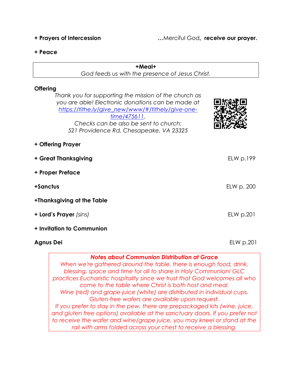+ Prayers of Intercession …Merciful God, receive our prayer.

#### + Peace

#### +Meal+

God feeds us with the presence of Jesus Christ.

# **Offering**

Thank you for supporting the mission of the church as you are able! Electronic donations can be made at https://tithe.ly/give\_new/www/#/tithely/give-onetime/475611. Checks can be also be sent to church: 521 Providence Rd, Chesapeake, VA 23325 + Offering Prayer + Great Thanksgiving entitled to the ELW p.199 + Proper Preface +Sanctus ELW p. 200 +Thanksgiving at the Table + Lord's Prayer (sins) ELW p.201

- + Invitation to Communion
- Agnus Dei **ELW p.201**

# Notes about Communion Distribution at Grace

When we're gathered around the table, there is enough food, drink, blessing, space and time for all to share in Holy Communion! GLC practices Eucharistic hospitality since we trust that God welcomes all who come to the table where Christ is both host and meal. Wine (red) and grape juice (white) are distributed in individual cups. Gluten-free wafers are available upon request. If you prefer to stay in the pew, there are prepackaged kits (wine, juice, and gluten free options) available at the sanctuary doors. If you prefer not to receive the wafer and wine/grape juice, you may kneel or stand at the rail with arms folded across your chest to receive a blessing.